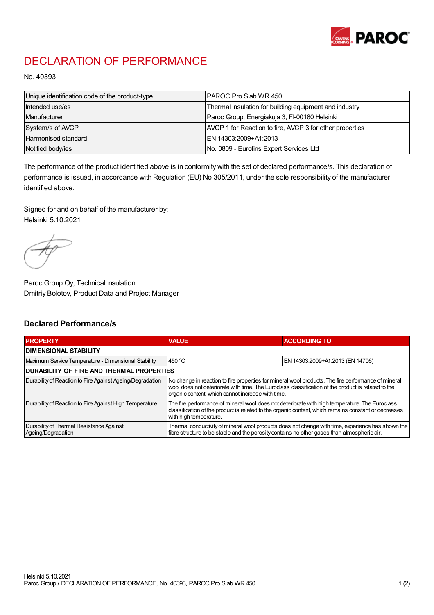

## DECLARATION OF PERFORMANCE

No. 40393

| Unique identification code of the product-type | IPAROC Pro Slab WR 450                                   |
|------------------------------------------------|----------------------------------------------------------|
| Intended use/es                                | Thermal insulation for building equipment and industry   |
| Manufacturer                                   | Paroc Group, Energiakuja 3, FI-00180 Helsinki            |
| System/s of AVCP                               | AVCP 1 for Reaction to fire, AVCP 3 for other properties |
| Harmonised standard                            | IEN 14303:2009+A1:2013                                   |
| Notified body/ies                              | No. 0809 - Eurofins Expert Services Ltd                  |

The performance of the product identified above is in conformity with the set of declared performance/s. This declaration of performance is issued, in accordance with Regulation (EU) No 305/2011, under the sole responsibility of the manufacturer identified above.

Signed for and on behalf of the manufacturer by: Helsinki 5.10.2021

Paroc Group Oy, Technical Insulation Dmitriy Bolotov, Product Data and Project Manager

## Declared Performance/s

| <b>PROPERTY</b>                                                | <b>VALUE</b>                                                                                                                                                                                                                                                   | <b>ACCORDING TO</b>              |  |
|----------------------------------------------------------------|----------------------------------------------------------------------------------------------------------------------------------------------------------------------------------------------------------------------------------------------------------------|----------------------------------|--|
| <b>DIMENSIONAL STABILITY</b>                                   |                                                                                                                                                                                                                                                                |                                  |  |
| Maximum Service Temperature - Dimensional Stability            | 450 °C                                                                                                                                                                                                                                                         | EN 14303:2009+A1:2013 (EN 14706) |  |
| <b>DURABILITY OF FIRE AND THERMAL PROPERTIES</b>               |                                                                                                                                                                                                                                                                |                                  |  |
| Durability of Reaction to Fire Against Ageing/Degradation      | No change in reaction to fire properties for mineral wool products. The fire performance of mineral<br>wool does not deteriorate with time. The Euroclass classification of the product is related to the<br>organic content, which cannot increase with time. |                                  |  |
| Durability of Reaction to Fire Against High Temperature        | The fire performance of mineral wool does not deteriorate with high temperature. The Euroclass<br>classification of the product is related to the organic content, which remains constant or decreases<br>with high temperature.                               |                                  |  |
| Durability of Thermal Resistance Against<br>Ageing/Degradation | Thermal conductivity of mineral wool products does not change with time, experience has shown the<br>fibre structure to be stable and the porosity contains no other gases than atmospheric air.                                                               |                                  |  |